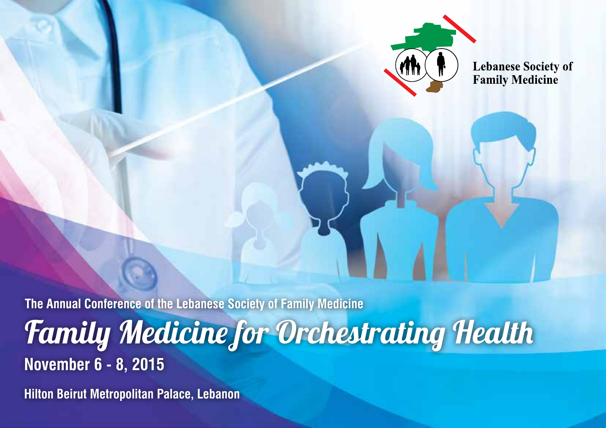

**Lebanese Society of Family Medicine** 

**The Annual Conference of the Lebanese Society of Family Medicine** Family Medicine for Orchestrating Health **November 6 - 8, 2015**

**Hilton Beirut Metropolitan Palace, Lebanon**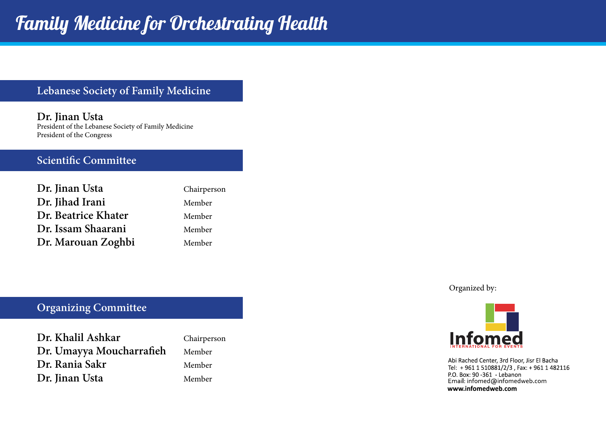#### **Lebanese Society of Family Medicine**

**Dr. Jinan Usta** President of the Lebanese Society of Family Medicine President of the Congress

#### **Scientific Committee**

| Dr. Jinan Usta      | Chairperson |
|---------------------|-------------|
| Dr. Jihad Irani     | Member      |
| Dr. Beatrice Khater | Member      |
| Dr. Issam Shaarani  | Member      |
| Dr. Marouan Zoghbi  | Member      |

#### **Organizing Committee**

| Dr. Khalil Ashkar        |  |
|--------------------------|--|
| Dr. Umayya Moucharrafieh |  |
| Dr. Rania Sakr           |  |
| Dr. Jinan Usta           |  |

Chairperson **Dr. Umayya Moucharrafieh** Member **Dr. Rania Sakr** Member **Dr. Jinan Usta** Member

Organized by:



Abi Rached Center, 3rd Floor, Jisr El Bacha Tel: +961 1 510881/2/3, Fax: +961 1 482116 P.O. Box: 90 -361 - Lebanon Email: infomed@infomedweb.com www.infomedweb.com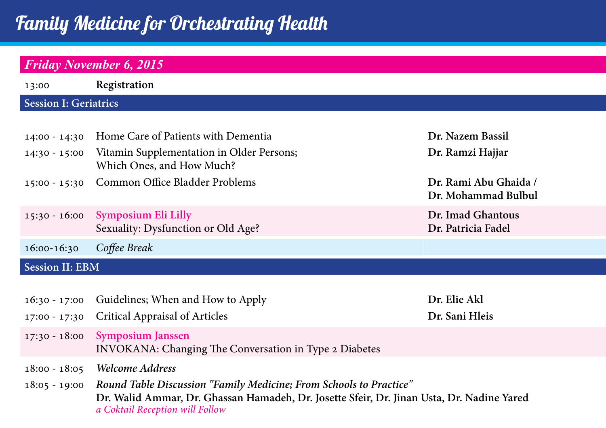# Family Medicine for Orchestrating Health

## *Friday November 6, 2015*

| 13:00                        | Registration                                                                       |                                              |  |
|------------------------------|------------------------------------------------------------------------------------|----------------------------------------------|--|
| <b>Session I: Geriatrics</b> |                                                                                    |                                              |  |
|                              |                                                                                    |                                              |  |
| $14:00 - 14:30$              | Home Care of Patients with Dementia                                                | Dr. Nazem Bassil                             |  |
| $14:30 - 15:00$              | Vitamin Supplementation in Older Persons;<br>Which Ones, and How Much?             | Dr. Ramzi Hajjar                             |  |
| $15:00 - 15:30$              | Common Office Bladder Problems                                                     | Dr. Rami Abu Ghaida /<br>Dr. Mohammad Bulbul |  |
| $15:30 - 16:00$              | Symposium Eli Lilly<br>Sexuality: Dysfunction or Old Age?                          | Dr. Imad Ghantous<br>Dr. Patricia Fadel      |  |
| 16:00-16:30                  | Coffee Break                                                                       |                                              |  |
| <b>Session II: EBM</b>       |                                                                                    |                                              |  |
|                              |                                                                                    |                                              |  |
| $16:30 - 17:00$              | Guidelines; When and How to Apply                                                  | Dr. Elie Akl                                 |  |
| 17:00 - 17:30                | Critical Appraisal of Articles                                                     | Dr. Sani Hleis                               |  |
| $17:30 - 18:00$              | <b>Symposium Janssen</b><br>INVOKANA: Changing The Conversation in Type 2 Diabetes |                                              |  |
| $18:00 - 18:05$              | Welcome Address                                                                    |                                              |  |
| $18:05 - 19:00$              | Round Table Discussion "Family Medicine; From Schools to Practice"                 |                                              |  |

**Dr. Walid Ammar, Dr. Ghassan Hamadeh, Dr. Josette Sfeir, Dr. Jinan Usta, Dr. Nadine Yared** *a Coktail Reception will Follow*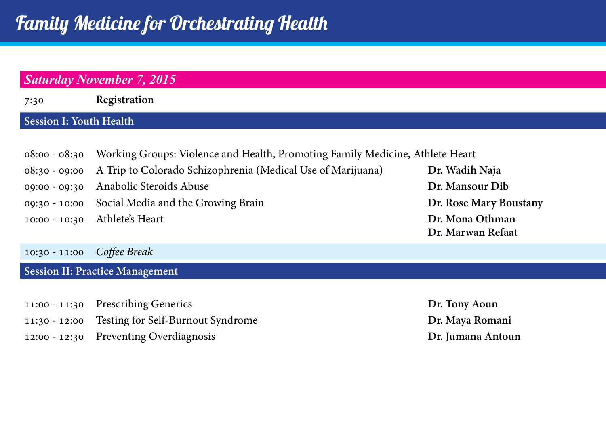## *Saturday November 7, 2015* 7:30 **Registration Session I: Youth Health** 08:00 - 08:30 Working Groups: Violence and Health, Promoting Family Medicine, Athlete Heart 08:30 - 09:00 A Trip to Colorado Schizophrenia (Medical Use of Marijuana) **Dr. Wadih Naja**  09:00 - 09:30 Anabolic Steroids Abuse **Dr. Mansour Dib** Dr. Mansour Dib 09:30 - 10:00 Social Media and the Growing Brain **Dr. Rose Mary Boustany** 10:00 - 10:30 Athlete's Heart **Dr. Mona Othman Dr. Marwan Refaat**

#### 10:30 - 11:00 *Coffee Break*

#### **Session II: Practice Management**

- 11:00 11:30 Prescribing Generics **Dr. Tony Aoun**
- 11:30 12:00 Testing for Self-Burnout Syndrome **Dr. Maya Romani**
- 12:00 12:30 Preventing Overdiagnosis **Dr. Jumana Antoun**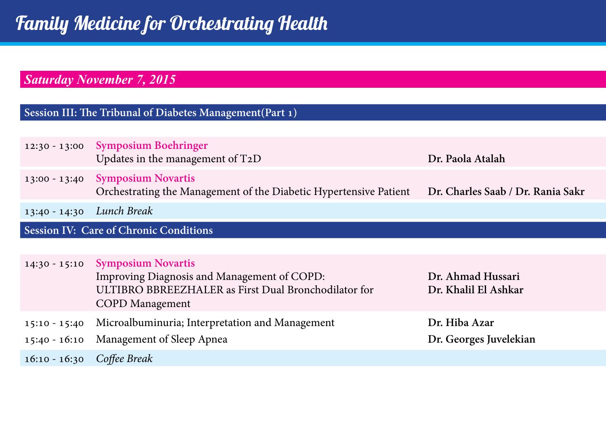## *Saturday November 7, 2015*

#### **Session III: The Tribunal of Diabetes Management(Part 1)**

| $12:30 - 13:00$                               | <b>Symposium Boehringer</b><br>Updates in the management of T2D                                                                                            | Dr. Paola Atalah                          |
|-----------------------------------------------|------------------------------------------------------------------------------------------------------------------------------------------------------------|-------------------------------------------|
| $13:00 - 13:40$                               | <b>Symposium Novartis</b><br>Orchestrating the Management of the Diabetic Hypertensive Patient                                                             | Dr. Charles Saab / Dr. Rania Sakr         |
| $13:40 - 14:30$                               | Lunch Break                                                                                                                                                |                                           |
| <b>Session IV: Care of Chronic Conditions</b> |                                                                                                                                                            |                                           |
|                                               |                                                                                                                                                            |                                           |
| $14:30 - 15:10$                               | <b>Symposium Novartis</b><br>Improving Diagnosis and Management of COPD:<br>ULTIBRO BBREEZHALER as First Dual Bronchodilator for<br><b>COPD</b> Management | Dr. Ahmad Hussari<br>Dr. Khalil El Ashkar |
| $15:10 - 15:40$<br>$15:40 - 16:10$            | Microalbuminuria; Interpretation and Management<br>Management of Sleep Apnea                                                                               | Dr. Hiba Azar<br>Dr. Georges Juvelekian   |
| $16:10 - 16:30$                               | Coffee Break                                                                                                                                               |                                           |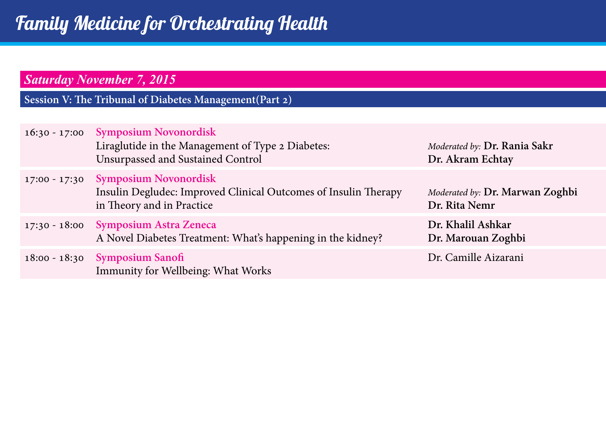## *Saturday November 7, 2015*

**Session V: The Tribunal of Diabetes Management(Part 2)**

| $16:30 - 17:00$ | <b>Symposium Novonordisk</b><br>Liraglutide in the Management of Type 2 Diabetes:<br>Unsurpassed and Sustained Control       | Moderated by: Dr. Rania Sakr<br>Dr. Akram Echtay |
|-----------------|------------------------------------------------------------------------------------------------------------------------------|--------------------------------------------------|
| $17:00 - 17:30$ | <b>Symposium Novonordisk</b><br>Insulin Degludec: Improved Clinical Outcomes of Insulin Therapy<br>in Theory and in Practice | Moderated by: Dr. Marwan Zoghbi<br>Dr. Rita Nemr |
|                 | 17:30 - 18:00 Symposium Astra Zeneca<br>A Novel Diabetes Treatment: What's happening in the kidney?                          | Dr. Khalil Ashkar<br>Dr. Marouan Zoghbi          |
|                 | 18:00 - 18:30 Symposium Sanofi<br>Immunity for Wellbeing: What Works                                                         | Dr. Camille Aizarani                             |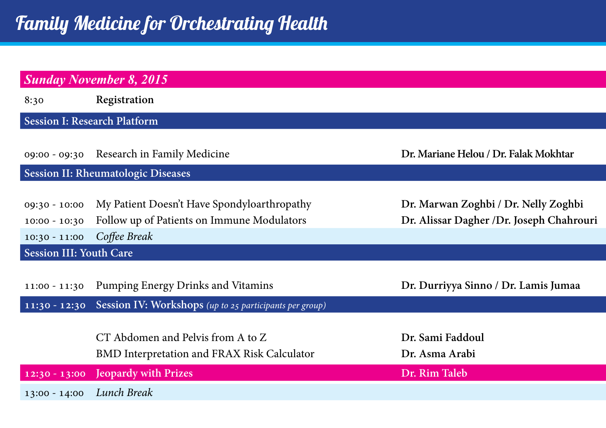| <b>Sunday November 8, 2015</b>                        |                                                                                                           |                                                                                   |  |
|-------------------------------------------------------|-----------------------------------------------------------------------------------------------------------|-----------------------------------------------------------------------------------|--|
| 8:30                                                  | Registration                                                                                              |                                                                                   |  |
| <b>Session I: Research Platform</b>                   |                                                                                                           |                                                                                   |  |
|                                                       | 09:00 - 09:30 Research in Family Medicine                                                                 | Dr. Mariane Helou / Dr. Falak Mokhtar                                             |  |
|                                                       | Session II: Rheumatologic Diseases                                                                        |                                                                                   |  |
| $09:30 - 10:00$<br>$10:00 - 10:30$<br>$10:30 - 11:00$ | My Patient Doesn't Have Spondyloarthropathy<br>Follow up of Patients on Immune Modulators<br>Coffee Break | Dr. Marwan Zoghbi / Dr. Nelly Zoghbi<br>Dr. Alissar Dagher / Dr. Joseph Chahrouri |  |
| <b>Session III: Youth Care</b>                        |                                                                                                           |                                                                                   |  |
| $11:00 - 11:30$                                       | Pumping Energy Drinks and Vitamins                                                                        | Dr. Durriyya Sinno / Dr. Lamis Jumaa                                              |  |
|                                                       | 11:30 - 12:30 Session IV: Workshops (up to 25 participants per group)                                     |                                                                                   |  |
|                                                       | CT Abdomen and Pelvis from A to Z<br>BMD Interpretation and FRAX Risk Calculator                          | Dr. Sami Faddoul<br>Dr. Asma Arabi                                                |  |
|                                                       | 12:30 - 13:00 Jeopardy with Prizes                                                                        | Dr. Rim Taleb                                                                     |  |
| $13:00 - 14:00$                                       | Lunch Break                                                                                               |                                                                                   |  |